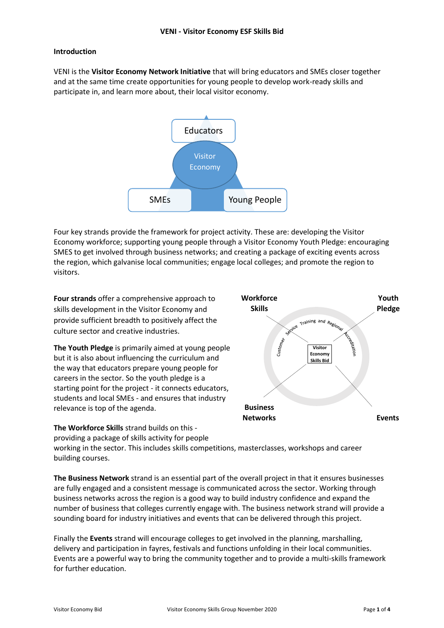## **Introduction**

VENI is the **Visitor Economy Network Initiative** that will bring educators and SMEs closer together and at the same time create opportunities for young people to develop work-ready skills and participate in, and learn more about, their local visitor economy.



Four key strands provide the framework for project activity. These are: developing the Visitor Economy workforce; supporting young people through a Visitor Economy Youth Pledge: encouraging SMES to get involved through business networks; and creating a package of exciting events across the region, which galvanise local communities; engage local colleges; and promote the region to visitors.

**Four strands** offer a comprehensive approach to skills development in the Visitor Economy and provide sufficient breadth to positively affect the culture sector and creative industries.

**The Youth Pledge** is primarily aimed at young people but it is also about influencing the curriculum and the way that educators prepare young people for careers in the sector. So the youth pledge is a starting point for the project - it connects educators, students and local SMEs - and ensures that industry relevance is top of the agenda.

**The Workforce Skills** strand builds on this providing a package of skills activity for people



working in the sector. This includes skills competitions, masterclasses, workshops and career building courses.

**The Business Network** strand is an essential part of the overall project in that it ensures businesses are fully engaged and a consistent message is communicated across the sector. Working through business networks across the region is a good way to build industry confidence and expand the number of business that colleges currently engage with. The business network strand will provide a sounding board for industry initiatives and events that can be delivered through this project.

Finally the **Events** strand will encourage colleges to get involved in the planning, marshalling, delivery and participation in fayres, festivals and functions unfolding in their local communities. Events are a powerful way to bring the community together and to provide a multi-skills framework for further education.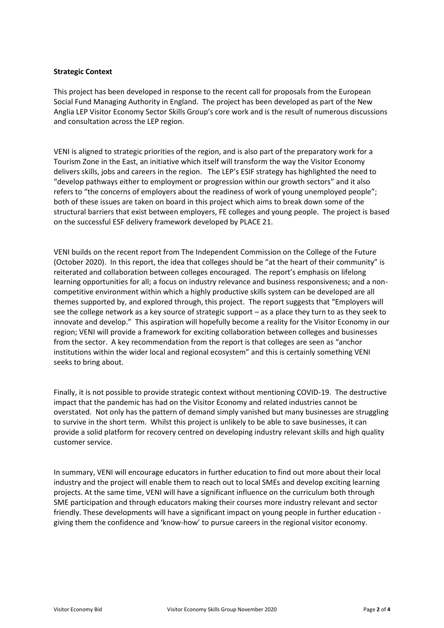### **Strategic Context**

This project has been developed in response to the recent call for proposals from the European Social Fund Managing Authority in England. The project has been developed as part of the New Anglia LEP Visitor Economy Sector Skills Group's core work and is the result of numerous discussions and consultation across the LEP region.

VENI is aligned to strategic priorities of the region, and is also part of the preparatory work for a Tourism Zone in the East, an initiative which itself will transform the way the Visitor Economy delivers skills, jobs and careers in the region. The LEP's ESIF strategy has highlighted the need to "develop pathways either to employment or progression within our growth sectors" and it also refers to "the concerns of employers about the readiness of work of young unemployed people"; both of these issues are taken on board in this project which aims to break down some of the structural barriers that exist between employers, FE colleges and young people. The project is based on the successful ESF delivery framework developed by PLACE 21.

VENI builds on the recent report from The Independent Commission on the College of the Future (October 2020). In this report, the idea that colleges should be "at the heart of their community" is reiterated and collaboration between colleges encouraged. The report's emphasis on lifelong learning opportunities for all; a focus on industry relevance and business responsiveness; and a noncompetitive environment within which a highly productive skills system can be developed are all themes supported by, and explored through, this project. The report suggests that "Employers will see the college network as a key source of strategic support – as a place they turn to as they seek to innovate and develop." This aspiration will hopefully become a reality for the Visitor Economy in our region; VENI will provide a framework for exciting collaboration between colleges and businesses from the sector. A key recommendation from the report is that colleges are seen as "anchor institutions within the wider local and regional ecosystem" and this is certainly something VENI seeks to bring about.

Finally, it is not possible to provide strategic context without mentioning COVID-19. The destructive impact that the pandemic has had on the Visitor Economy and related industries cannot be overstated. Not only has the pattern of demand simply vanished but many businesses are struggling to survive in the short term. Whilst this project is unlikely to be able to save businesses, it can provide a solid platform for recovery centred on developing industry relevant skills and high quality customer service.

In summary, VENI will encourage educators in further education to find out more about their local industry and the project will enable them to reach out to local SMEs and develop exciting learning projects. At the same time, VENI will have a significant influence on the curriculum both through SME participation and through educators making their courses more industry relevant and sector friendly. These developments will have a significant impact on young people in further education giving them the confidence and 'know-how' to pursue careers in the regional visitor economy.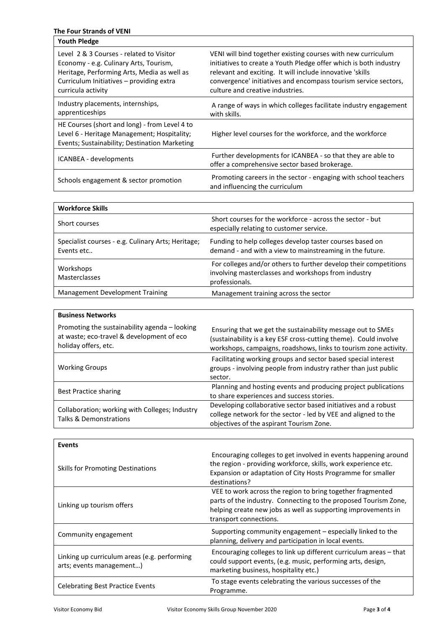# **The Four Strands of VENI**

| <b>Youth Pledge</b>                                                                                                                                                                                 |                                                                                                                                                                                                                                                                                                       |
|-----------------------------------------------------------------------------------------------------------------------------------------------------------------------------------------------------|-------------------------------------------------------------------------------------------------------------------------------------------------------------------------------------------------------------------------------------------------------------------------------------------------------|
| Level 2 & 3 Courses - related to Visitor<br>Economy - e.g. Culinary Arts, Tourism,<br>Heritage, Performing Arts, Media as well as<br>Curriculum Initiatives - providing extra<br>curricula activity | VENI will bind together existing courses with new curriculum<br>initiatives to create a Youth Pledge offer which is both industry<br>relevant and exciting. It will include innovative 'skills<br>convergence' initiatives and encompass tourism service sectors,<br>culture and creative industries. |
| Industry placements, internships,<br>apprenticeships                                                                                                                                                | A range of ways in which colleges facilitate industry engagement<br>with skills.                                                                                                                                                                                                                      |
| HE Courses (short and long) - from Level 4 to<br>Level 6 - Heritage Management; Hospitality;<br>Events; Sustainability; Destination Marketing                                                       | Higher level courses for the workforce, and the workforce                                                                                                                                                                                                                                             |
| ICANBEA - developments                                                                                                                                                                              | Further developments for ICANBEA - so that they are able to<br>offer a comprehensive sector based brokerage.                                                                                                                                                                                          |
| Schools engagement & sector promotion                                                                                                                                                               | Promoting careers in the sector - engaging with school teachers<br>and influencing the curriculum                                                                                                                                                                                                     |

| <b>Workforce Skills</b>                                          |                                                                                                                                           |
|------------------------------------------------------------------|-------------------------------------------------------------------------------------------------------------------------------------------|
| Short courses                                                    | Short courses for the workforce - across the sector - but<br>especially relating to customer service.                                     |
| Specialist courses - e.g. Culinary Arts; Heritage;<br>Events etc | Funding to help colleges develop taster courses based on<br>demand - and with a view to mainstreaming in the future.                      |
| Workshops<br>Masterclasses                                       | For colleges and/or others to further develop their competitions<br>involving masterclasses and workshops from industry<br>professionals. |
| <b>Management Development Training</b>                           | Management training across the sector                                                                                                     |

| <b>Business Networks</b>                                                                                           |                                                                                                                                                                                                     |  |  |  |  |
|--------------------------------------------------------------------------------------------------------------------|-----------------------------------------------------------------------------------------------------------------------------------------------------------------------------------------------------|--|--|--|--|
| Promoting the sustainability agenda - looking<br>at waste; eco-travel & development of eco<br>holiday offers, etc. | Ensuring that we get the sustainability message out to SMEs<br>(sustainability is a key ESF cross-cutting theme). Could involve<br>workshops, campaigns, roadshows, links to tourism zone activity. |  |  |  |  |
| <b>Working Groups</b>                                                                                              | Facilitating working groups and sector based special interest<br>groups - involving people from industry rather than just public<br>sector.                                                         |  |  |  |  |
| <b>Best Practice sharing</b>                                                                                       | Planning and hosting events and producing project publications<br>to share experiences and success stories.                                                                                         |  |  |  |  |
| Collaboration; working with Colleges; Industry<br>Talks & Demonstrations                                           | Developing collaborative sector based initiatives and a robust<br>college network for the sector - led by VEE and aligned to the<br>objectives of the aspirant Tourism Zone.                        |  |  |  |  |

| <b>Events</b>                                                            |                                                                                                                                                                                                                          |  |  |  |
|--------------------------------------------------------------------------|--------------------------------------------------------------------------------------------------------------------------------------------------------------------------------------------------------------------------|--|--|--|
| <b>Skills for Promoting Destinations</b>                                 | Encouraging colleges to get involved in events happening around<br>the region - providing workforce, skills, work experience etc.<br>Expansion or adaptation of City Hosts Programme for smaller<br>destinations?        |  |  |  |
| Linking up tourism offers                                                | VEE to work across the region to bring together fragmented<br>parts of the industry. Connecting to the proposed Tourism Zone,<br>helping create new jobs as well as supporting improvements in<br>transport connections. |  |  |  |
| Community engagement                                                     | Supporting community engagement - especially linked to the<br>planning, delivery and participation in local events.                                                                                                      |  |  |  |
| Linking up curriculum areas (e.g. performing<br>arts; events management) | Encouraging colleges to link up different curriculum areas – that<br>could support events, (e.g. music, performing arts, design,<br>marketing business, hospitality etc.)                                                |  |  |  |
| <b>Celebrating Best Practice Events</b>                                  | To stage events celebrating the various successes of the<br>Programme.                                                                                                                                                   |  |  |  |